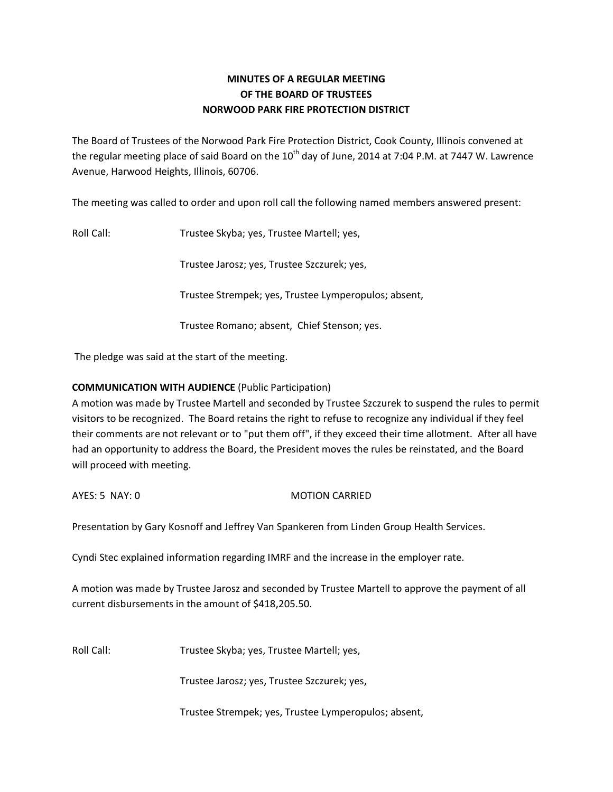# **MINUTES OF A REGULAR MEETING OF THE BOARD OF TRUSTEES NORWOOD PARK FIRE PROTECTION DISTRICT**

The Board of Trustees of the Norwood Park Fire Protection District, Cook County, Illinois convened at the regular meeting place of said Board on the  $10<sup>th</sup>$  day of June, 2014 at 7:04 P.M. at 7447 W. Lawrence Avenue, Harwood Heights, Illinois, 60706.

The meeting was called to order and upon roll call the following named members answered present:

Roll Call: Trustee Skyba; yes, Trustee Martell; yes,

Trustee Jarosz; yes, Trustee Szczurek; yes,

Trustee Strempek; yes, Trustee Lymperopulos; absent,

Trustee Romano; absent, Chief Stenson; yes.

The pledge was said at the start of the meeting.

## **COMMUNICATION WITH AUDIENCE** (Public Participation)

A motion was made by Trustee Martell and seconded by Trustee Szczurek to suspend the rules to permit visitors to be recognized. The Board retains the right to refuse to recognize any individual if they feel their comments are not relevant or to "put them off", if they exceed their time allotment. After all have had an opportunity to address the Board, the President moves the rules be reinstated, and the Board will proceed with meeting.

### AYES: 5 NAY: 0 MOTION CARRIED

Presentation by Gary Kosnoff and Jeffrey Van Spankeren from Linden Group Health Services.

Cyndi Stec explained information regarding IMRF and the increase in the employer rate.

A motion was made by Trustee Jarosz and seconded by Trustee Martell to approve the payment of all current disbursements in the amount of \$418,205.50.

Roll Call: Trustee Skyba; yes, Trustee Martell; yes,

Trustee Jarosz; yes, Trustee Szczurek; yes,

Trustee Strempek; yes, Trustee Lymperopulos; absent,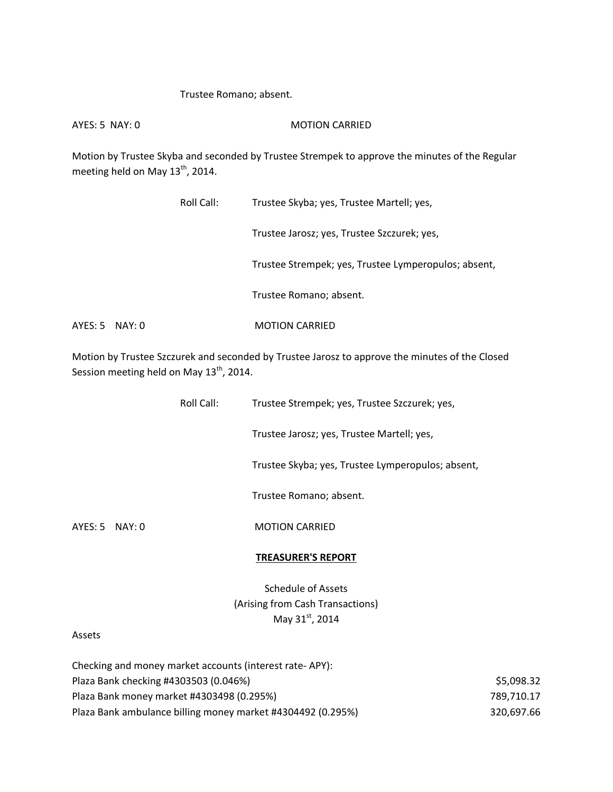#### Trustee Romano; absent.

AYES: 5 NAY: 0 MOTION CARRIED

Motion by Trustee Skyba and seconded by Trustee Strempek to approve the minutes of the Regular meeting held on May  $13^{th}$ , 2014.

|                  | Roll Call: | Trustee Skyba; yes, Trustee Martell; yes,            |
|------------------|------------|------------------------------------------------------|
|                  |            | Trustee Jarosz; yes, Trustee Szczurek; yes,          |
|                  |            | Trustee Strempek; yes, Trustee Lymperopulos; absent, |
|                  |            | Trustee Romano; absent.                              |
| $AYES: 5$ NAY: 0 |            | <b>MOTION CARRIED</b>                                |

Motion by Trustee Szczurek and seconded by Trustee Jarosz to approve the minutes of the Closed Session meeting held on May 13<sup>th</sup>, 2014.

|                | Roll Call: | Trustee Strempek; yes, Trustee Szczurek; yes,     |
|----------------|------------|---------------------------------------------------|
|                |            | Trustee Jarosz; yes, Trustee Martell; yes,        |
|                |            | Trustee Skyba; yes, Trustee Lymperopulos; absent, |
|                |            | Trustee Romano; absent.                           |
| AYES: 5 NAY: 0 |            | <b>MOTION CARRIED</b>                             |
|                |            | <b>TREASURER'S REPORT</b>                         |

Schedule of Assets (Arising from Cash Transactions) May 31st, 2014

#### Assets

| Checking and money market accounts (interest rate-APY):     |            |
|-------------------------------------------------------------|------------|
| Plaza Bank checking #4303503 (0.046%)                       | \$5.098.32 |
| Plaza Bank money market #4303498 (0.295%)                   | 789.710.17 |
| Plaza Bank ambulance billing money market #4304492 (0.295%) | 320.697.66 |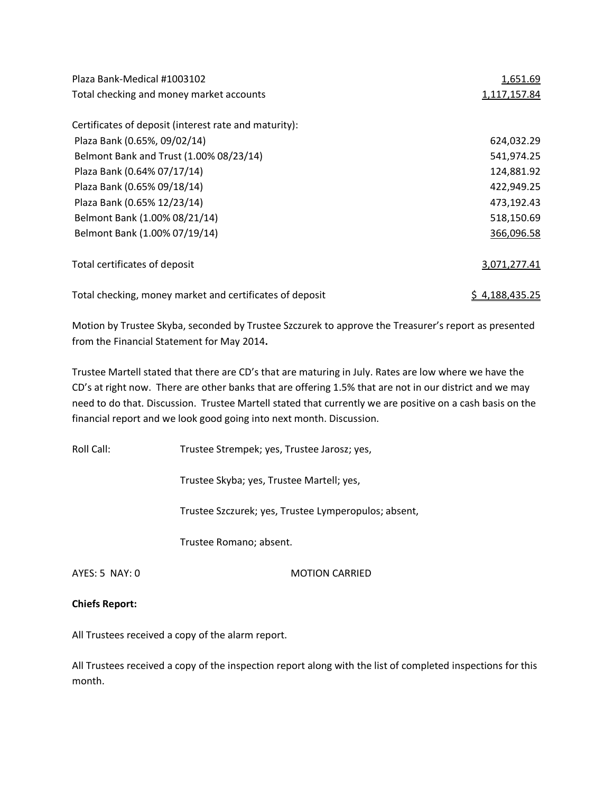| Plaza Bank-Medical #1003102                              | <u>1,651.69</u>       |
|----------------------------------------------------------|-----------------------|
| Total checking and money market accounts                 | 1,117,157.84          |
| Certificates of deposit (interest rate and maturity):    |                       |
| Plaza Bank (0.65%, 09/02/14)                             | 624,032.29            |
| Belmont Bank and Trust (1.00% 08/23/14)                  | 541,974.25            |
| Plaza Bank (0.64% 07/17/14)                              | 124,881.92            |
| Plaza Bank (0.65% 09/18/14)                              | 422,949.25            |
| Plaza Bank (0.65% 12/23/14)                              | 473,192.43            |
| Belmont Bank (1.00% 08/21/14)                            | 518,150.69            |
| Belmont Bank (1.00% 07/19/14)                            | 366,096.58            |
| Total certificates of deposit                            | 3,071,277.41          |
| Total checking, money market and certificates of deposit | <u>\$4,188,435.25</u> |

Motion by Trustee Skyba, seconded by Trustee Szczurek to approve the Treasurer's report as presented from the Financial Statement for May 2014**.** 

Trustee Martell stated that there are CD's that are maturing in July. Rates are low where we have the CD's at right now. There are other banks that are offering 1.5% that are not in our district and we may need to do that. Discussion. Trustee Martell stated that currently we are positive on a cash basis on the financial report and we look good going into next month. Discussion.

Roll Call: Trustee Strempek; yes, Trustee Jarosz; yes,

Trustee Skyba; yes, Trustee Martell; yes,

Trustee Szczurek; yes, Trustee Lymperopulos; absent,

Trustee Romano; absent.

AYES: 5 NAY: 0 MOTION CARRIED

### **Chiefs Report:**

All Trustees received a copy of the alarm report.

All Trustees received a copy of the inspection report along with the list of completed inspections for this month.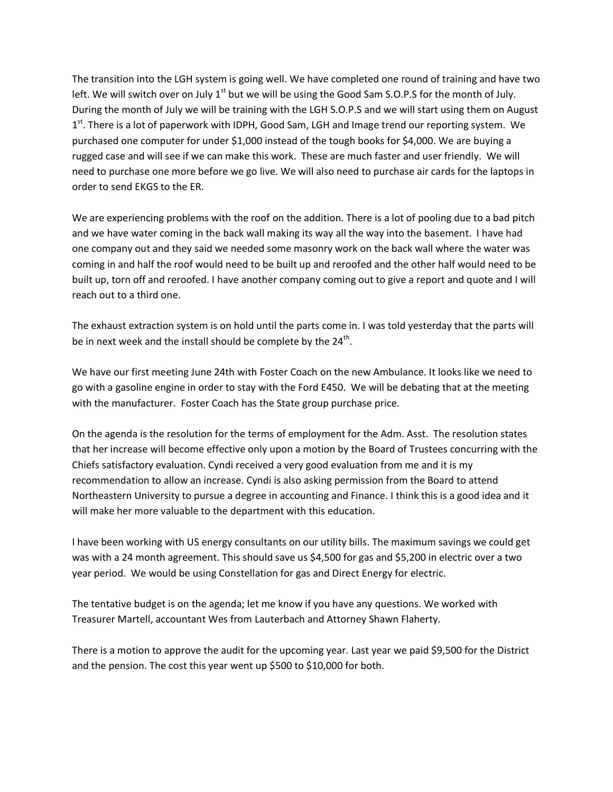The transition into the LGH system is going well. We have completed one round of training and have two left. We will switch over on July  $1^{st}$  but we will be using the Good Sam S.O.P.S for the month of July. During the month of July we will be training with the LGH S.O.P.S and we will start using them on August 1<sup>st</sup>. There is a lot of paperwork with IDPH, Good Sam, LGH and Image trend our reporting system. We purchased one computer for under \$1,000 instead of the tough books for \$4,000. We are buying a rugged case and will see if we can make this work. These are much faster and user friendly. We will need to purchase one more before we go live. We will also need to purchase air cards for the laptops in order to send EKGS to the ER.

We are experiencing problems with the roof on the addition. There is a lot of pooling due to a bad pitch and we have water coming in the back wall making its way all the way into the basement. I have had one company out and they said we needed some masonry work on the back wall where the water was coming in and half the roof would need to be built up and reroofed and the other half would need to be built up, torn off and reroofed. I have another company coming out to give a report and quote and I will reach out to a third one.

The exhaust extraction system is on hold until the parts come in. I was told yesterday that the parts will be in next week and the install should be complete by the  $24<sup>th</sup>$ .

We have our first meeting June 24th with Foster Coach on the new Ambulance. It looks like we need to go with a gasoline engine in order to stay with the Ford E450. We will be debating that at the meeting with the manufacturer. Foster Coach has the State group purchase price.

On the agenda is the resolution for the terms of employment for the Adm. Asst. The resolution states that her increase will become effective only upon a motion by the Board of Trustees concurring with the Chiefs satisfactory evaluation. Cyndi received a very good evaluation from me and it is my recommendation to allow an increase. Cyndi is also asking permission from the Board to attend Northeastern University to pursue a degree in accounting and Finance. I think this is a good idea and it will make her more valuable to the department with this education.

I have been working with US energy consultants on our utility bills. The maximum savings we could get was with a 24 month agreement. This should save us \$4,500 for gas and \$5,200 in electric over a two year period. We would be using Constellation for gas and Direct Energy for electric.

The tentative budget is on the agenda; let me know if you have any questions. We worked with Treasurer Martell, accountant Wes from Lauterbach and Attorney Shawn Flaherty.

There is a motion to approve the audit for the upcoming year. Last year we paid \$9,500 for the District and the pension. The cost this year went up \$500 to \$10,000 for both.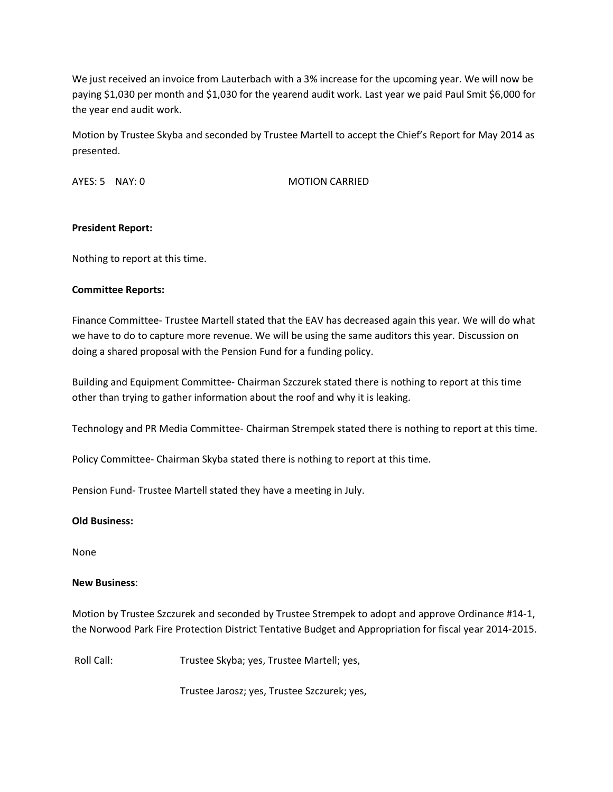We just received an invoice from Lauterbach with a 3% increase for the upcoming year. We will now be paying \$1,030 per month and \$1,030 for the yearend audit work. Last year we paid Paul Smit \$6,000 for the year end audit work.

Motion by Trustee Skyba and seconded by Trustee Martell to accept the Chief's Report for May 2014 as presented.

AYES: 5 NAY: 0 MOTION CARRIED

## **President Report:**

Nothing to report at this time.

### **Committee Reports:**

Finance Committee- Trustee Martell stated that the EAV has decreased again this year. We will do what we have to do to capture more revenue. We will be using the same auditors this year. Discussion on doing a shared proposal with the Pension Fund for a funding policy.

Building and Equipment Committee- Chairman Szczurek stated there is nothing to report at this time other than trying to gather information about the roof and why it is leaking.

Technology and PR Media Committee- Chairman Strempek stated there is nothing to report at this time.

Policy Committee- Chairman Skyba stated there is nothing to report at this time.

Pension Fund- Trustee Martell stated they have a meeting in July.

### **Old Business:**

None

### **New Business**:

Motion by Trustee Szczurek and seconded by Trustee Strempek to adopt and approve Ordinance #14-1, the Norwood Park Fire Protection District Tentative Budget and Appropriation for fiscal year 2014-2015.

Roll Call: Trustee Skyba; yes, Trustee Martell; yes,

Trustee Jarosz; yes, Trustee Szczurek; yes,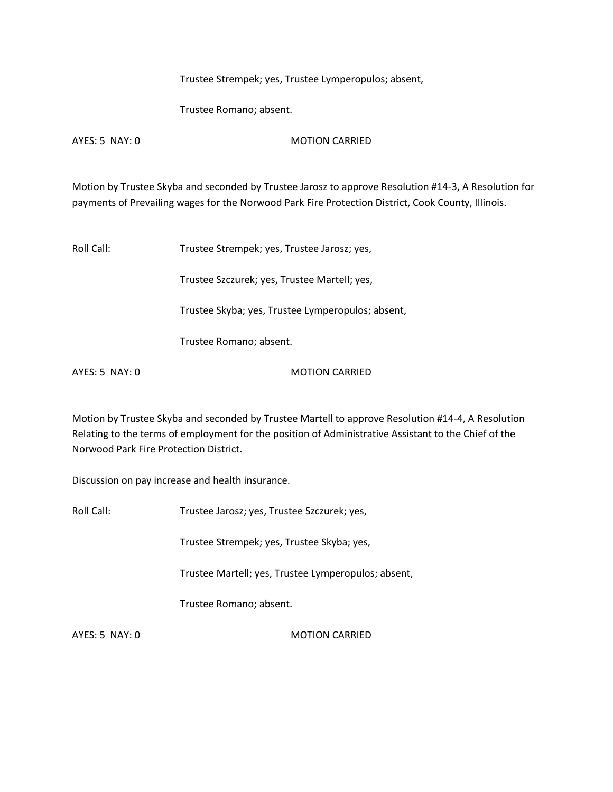Trustee Strempek; yes, Trustee Lymperopulos; absent,

Trustee Romano; absent.

AYES: 5 NAY: 0 MOTION CARRIED

Motion by Trustee Skyba and seconded by Trustee Jarosz to approve Resolution #14-3, A Resolution for payments of Prevailing wages for the Norwood Park Fire Protection District, Cook County, Illinois.

Roll Call: Trustee Strempek; yes, Trustee Jarosz; yes,

Trustee Szczurek; yes, Trustee Martell; yes,

Trustee Skyba; yes, Trustee Lymperopulos; absent,

Trustee Romano; absent.

AYES: 5 NAY: 0 MOTION CARRIED

Motion by Trustee Skyba and seconded by Trustee Martell to approve Resolution #14-4, A Resolution Relating to the terms of employment for the position of Administrative Assistant to the Chief of the Norwood Park Fire Protection District.

Discussion on pay increase and health insurance.

Roll Call: Trustee Jarosz; yes, Trustee Szczurek; yes,

Trustee Strempek; yes, Trustee Skyba; yes,

Trustee Martell; yes, Trustee Lymperopulos; absent,

Trustee Romano; absent.

AYES: 5 NAY: 0 MOTION CARRIED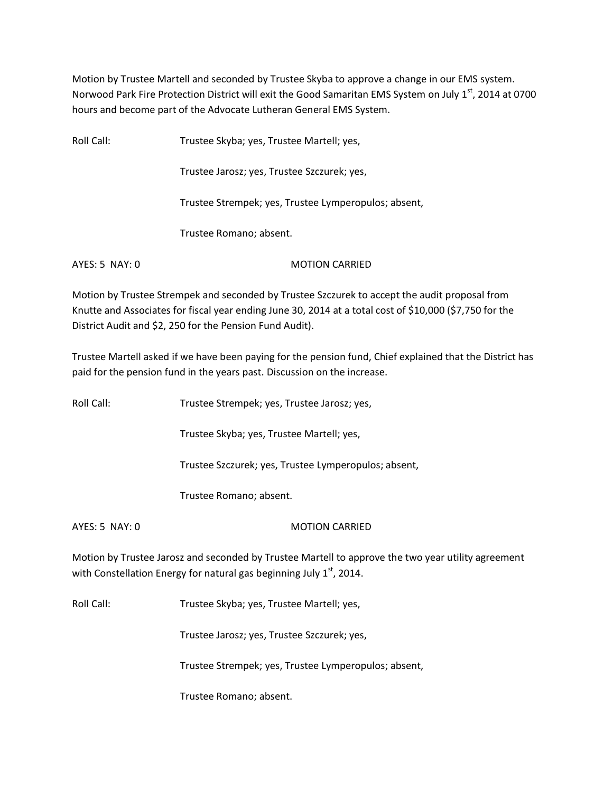Motion by Trustee Martell and seconded by Trustee Skyba to approve a change in our EMS system. Norwood Park Fire Protection District will exit the Good Samaritan EMS System on July 1st, 2014 at 0700 hours and become part of the Advocate Lutheran General EMS System.

Roll Call: Trustee Skyba; yes, Trustee Martell; yes, Trustee Jarosz; yes, Trustee Szczurek; yes, Trustee Strempek; yes, Trustee Lymperopulos; absent, Trustee Romano; absent. AYES: 5 NAY: 0 MOTION CARRIED

Motion by Trustee Strempek and seconded by Trustee Szczurek to accept the audit proposal from Knutte and Associates for fiscal year ending June 30, 2014 at a total cost of \$10,000 (\$7,750 for the District Audit and \$2, 250 for the Pension Fund Audit).

Trustee Martell asked if we have been paying for the pension fund, Chief explained that the District has paid for the pension fund in the years past. Discussion on the increase.

Roll Call: Trustee Strempek; yes, Trustee Jarosz; yes,

Trustee Skyba; yes, Trustee Martell; yes,

Trustee Szczurek; yes, Trustee Lymperopulos; absent,

Trustee Romano; absent.

AYES: 5 NAY: 0 MOTION CARRIED

Motion by Trustee Jarosz and seconded by Trustee Martell to approve the two year utility agreement with Constellation Energy for natural gas beginning July  $1<sup>st</sup>$ , 2014.

Roll Call: Trustee Skyba; yes, Trustee Martell; yes,

Trustee Jarosz; yes, Trustee Szczurek; yes,

Trustee Strempek; yes, Trustee Lymperopulos; absent,

Trustee Romano; absent.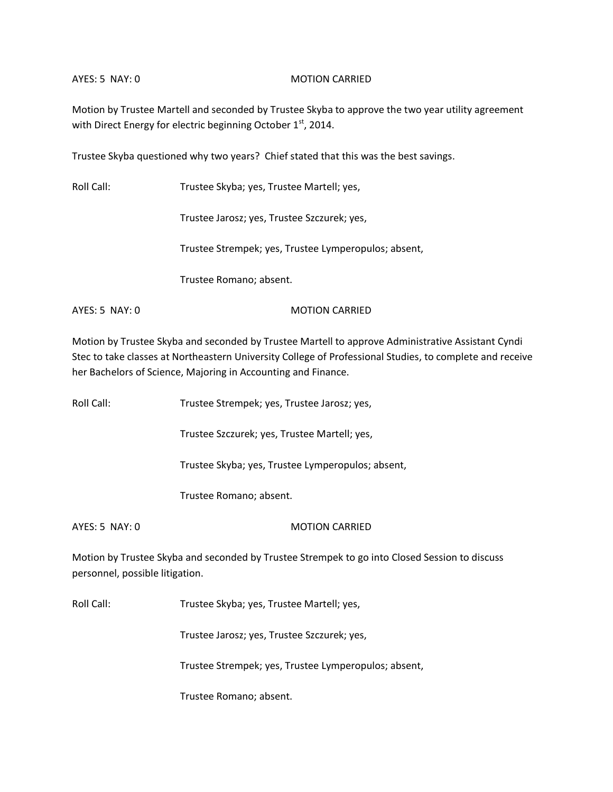#### AYES: 5 NAY: 0 MOTION CARRIED

Motion by Trustee Martell and seconded by Trustee Skyba to approve the two year utility agreement with Direct Energy for electric beginning October 1st, 2014.

Trustee Skyba questioned why two years? Chief stated that this was the best savings.

Roll Call: Trustee Skyba; yes, Trustee Martell; yes,

Trustee Jarosz; yes, Trustee Szczurek; yes,

Trustee Strempek; yes, Trustee Lymperopulos; absent,

Trustee Romano; absent.

AYES: 5 NAY: 0 MOTION CARRIED

Motion by Trustee Skyba and seconded by Trustee Martell to approve Administrative Assistant Cyndi Stec to take classes at Northeastern University College of Professional Studies, to complete and receive her Bachelors of Science, Majoring in Accounting and Finance.

Roll Call: Trustee Strempek; yes, Trustee Jarosz; yes,

Trustee Szczurek; yes, Trustee Martell; yes,

Trustee Skyba; yes, Trustee Lymperopulos; absent,

Trustee Romano; absent.

AYES: 5 NAY: 0 MOTION CARRIED

Motion by Trustee Skyba and seconded by Trustee Strempek to go into Closed Session to discuss personnel, possible litigation.

Roll Call: Trustee Skyba; yes, Trustee Martell; yes,

Trustee Jarosz; yes, Trustee Szczurek; yes,

Trustee Strempek; yes, Trustee Lymperopulos; absent,

Trustee Romano; absent.